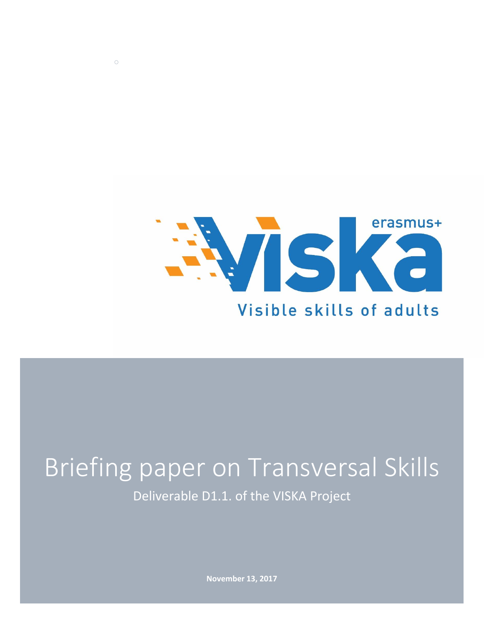

# Briefing paper on Transversal Skills Deliverable D1.1. of the VISKA Project

*○*

**November 13, 2017**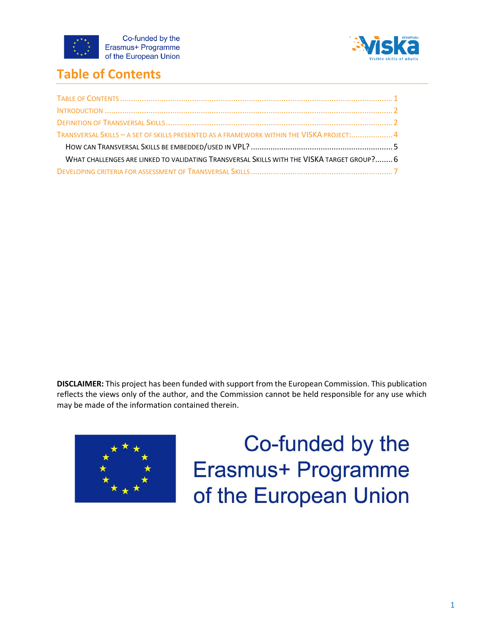



## <span id="page-1-0"></span>**Table of Contents**

| TRANSVERSAL SKILLS - A SET OF SKILLS PRESENTED AS A FRAMEWORK WITHIN THE VISKA PROJECT: 4  |  |
|--------------------------------------------------------------------------------------------|--|
|                                                                                            |  |
| WHAT CHALLENGES ARE LINKED TO VALIDATING TRANSVERSAL SKILLS WITH THE VISKA TARGET GROUP? 6 |  |
|                                                                                            |  |

**DISCLAIMER:** This project has been funded with support from the European Commission. This publication reflects the views only of the author, and the Commission cannot be held responsible for any use which may be made of the information contained therein.



Co-funded by the **Erasmus+ Programme** of the European Union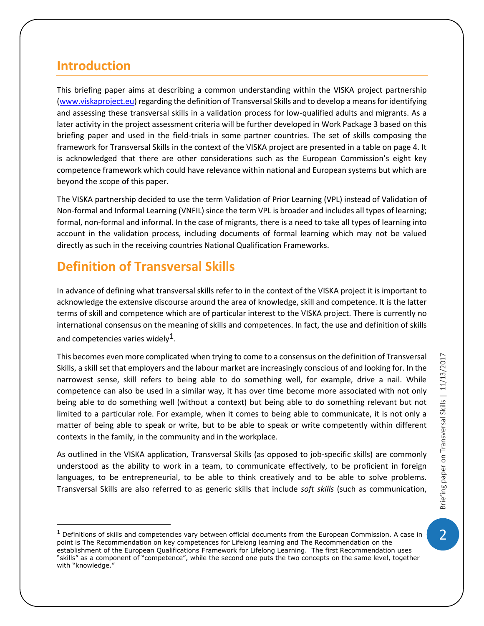#### <span id="page-2-0"></span>**Introduction**

l

This briefing paper aims at describing a common understanding within the VISKA project partnership [\(www.viskaproject.eu\)](http://www.viskaproject.eu/) regarding the definition of Transversal Skills and to develop a means for identifying and assessing these transversal skills in a validation process for low-qualified adults and migrants. As a later activity in the project assessment criteria will be further developed in Work Package 3 based on this briefing paper and used in the field-trials in some partner countries. The set of skills composing the framework for Transversal Skills in the context of the VISKA project are presented in a table on page 4. It is acknowledged that there are other considerations such as the European Commission's eight key competence framework which could have relevance within national and European systems but which are beyond the scope of this paper.

The VISKA partnership decided to use the term Validation of Prior Learning (VPL) instead of Validation of Non-formal and Informal Learning (VNFIL) since the term VPL is broader and includes all types of learning; formal, non-formal and informal. In the case of migrants, there is a need to take all types of learning into account in the validation process, including documents of formal learning which may not be valued directly as such in the receiving countries National Qualification Frameworks.

## <span id="page-2-1"></span>**Definition of Transversal Skills**

In advance of defining what transversal skills refer to in the context of the VISKA project it is important to acknowledge the extensive discourse around the area of knowledge, skill and competence. It is the latter terms of skill and competence which are of particular interest to the VISKA project. There is currently no international consensus on the meaning of skills and competences. In fact, the use and definition of skills and competencies varies widely<sup>1</sup>.

This becomes even more complicated when trying to come to a consensus on the definition of Transversal Skills, a skill set that employers and the labour market are increasingly conscious of and looking for. In the narrowest sense, skill refers to being able to do something well, for example, drive a nail. While competence can also be used in a similar way, it has over time become more associated with not only being able to do something well (without a context) but being able to do something relevant but not limited to a particular role. For example, when it comes to being able to communicate, it is not only a matter of being able to speak or write, but to be able to speak or write competently within different contexts in the family, in the community and in the workplace.

As outlined in the VISKA application, Transversal Skills (as opposed to job-specific skills) are commonly understood as the ability to work in a team, to communicate effectively, to be proficient in foreign languages, to be entrepreneurial, to be able to think creatively and to be able to solve problems. Transversal Skills are also referred to as generic skills that include *soft skills* (such as communication,

 $\overline{2}$ 

 $<sup>1</sup>$  Definitions of skills and competencies vary between official documents from the European Commission. A case in</sup> point is The Recommendation on key competences for Lifelong learning and The Recommendation on the establishment of the European Qualifications Framework for Lifelong Learning. The first Recommendation uses "skills" as a component of "competence", while the second one puts the two concepts on the same level, together with "knowledge."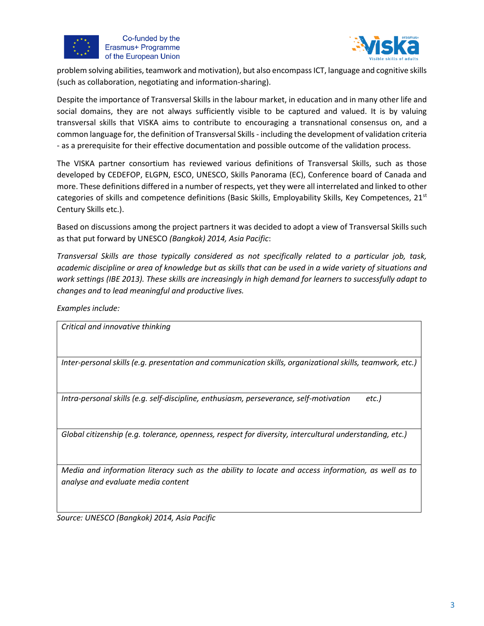



problem solving abilities, teamwork and motivation), but also encompass ICT, language and cognitive skills (such as collaboration, negotiating and information-sharing).

Despite the importance of Transversal Skills in the labour market, in education and in many other life and social domains, they are not always sufficiently visible to be captured and valued. It is by valuing transversal skills that VISKA aims to contribute to encouraging a transnational consensus on, and a common language for, the definition of Transversal Skills - including the development of validation criteria - as a prerequisite for their effective documentation and possible outcome of the validation process.

The VISKA partner consortium has reviewed various definitions of Transversal Skills, such as those developed by CEDEFOP, ELGPN, ESCO, UNESCO, Skills Panorama (EC), Conference board of Canada and more. These definitions differed in a number of respects, yet they were all interrelated and linked to other categories of skills and competence definitions (Basic Skills, Employability Skills, Key Competences,  $21<sup>st</sup>$ Century Skills etc.).

Based on discussions among the project partners it was decided to adopt a view of Transversal Skills such as that put forward by UNESCO *(Bangkok) 2014, Asia Pacific*:

*Transversal Skills are those typically considered as not specifically related to a particular job, task, academic discipline or area of knowledge but as skills that can be used in a wide variety of situations and work settings (IBE 2013). These skills are increasingly in high demand for learners to successfully adapt to changes and to lead meaningful and productive lives.*

*Examples include:*

*Critical and innovative thinking*

*Inter-personal skills (e.g. presentation and communication skills, organizational skills, teamwork, etc.)*

*Intra-personal skills (e.g. self-discipline, enthusiasm, perseverance, self-motivation etc.)*

*Global citizenship (e.g. tolerance, openness, respect for diversity, intercultural understanding, etc.)*

*Media and information literacy such as the ability to locate and access information, as well as to analyse and evaluate media content*

*Source: UNESCO (Bangkok) 2014, Asia Pacific*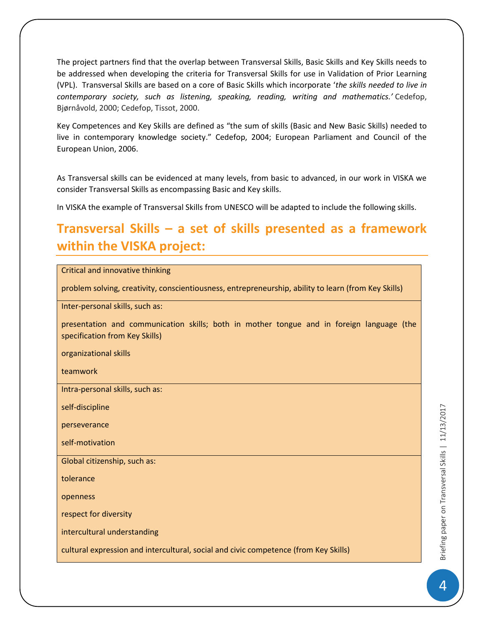The project partners find that the overlap between Transversal Skills, Basic Skills and Key Skills needs to be addressed when developing the criteria for Transversal Skills for use in Validation of Prior Learning (VPL). Transversal Skills are based on a core of Basic Skills which incorporate '*the skills needed to live in contemporary society, such as listening, speaking, reading, writing and mathematics.'* Cedefop, Bjørnåvold, 2000; Cedefop, Tissot, 2000.

Key Competences and Key Skills are defined as "the sum of skills (Basic and New Basic Skills) needed to live in contemporary knowledge society." Cedefop, 2004; European Parliament and Council of the European Union, 2006.

As Transversal skills can be evidenced at many levels, from basic to advanced, in our work in VISKA we consider Transversal Skills as encompassing Basic and Key skills.

In VISKA the example of Transversal Skills from UNESCO will be adapted to include the following skills.

#### <span id="page-4-0"></span>**Transversal Skills – a set of skills presented as a framework within the VISKA project:**

|  |  | Critical and innovative thinking |  |
|--|--|----------------------------------|--|
|--|--|----------------------------------|--|

problem solving, creativity, conscientiousness, entrepreneurship, ability to learn (from Key Skills)

Inter-personal skills, such as:

presentation and communication skills; both in mother tongue and in foreign language (the specification from Key Skills)

organizational skills

teamwork

Intra-personal skills, such as:

self-discipline

perseverance

self-motivation

Global citizenship, such as:

tolerance

openness

respect for diversity

intercultural understanding

cultural expression and intercultural, social and civic competence (from Key Skills)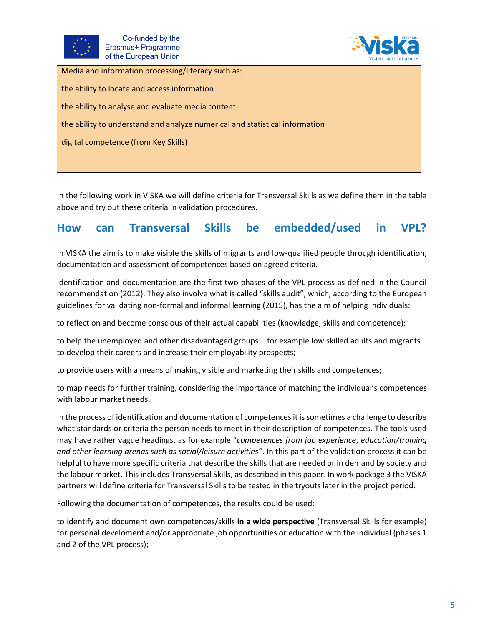



| Media and information processing/literacy such as:                          |
|-----------------------------------------------------------------------------|
| the ability to locate and access information                                |
| the ability to analyse and evaluate media content                           |
| the ability to understand and analyze numerical and statistical information |
| digital competence (from Key Skills)                                        |
|                                                                             |

In the following work in VISKA we will define criteria for Transversal Skills as we define them in the table above and try out these criteria in validation procedures.

#### <span id="page-5-0"></span>**How can Transversal Skills be embedded/used in VPL?**

In VISKA the aim is to make visible the skills of migrants and low-qualified people through identification, documentation and assessment of competences based on agreed criteria.

Identification and documentation are the first two phases of the VPL process as defined in the Council recommendation (2012). They also involve what is called "skills audit", which, according to the European guidelines for validating non-formal and informal learning (2015), has the aim of helping individuals:

to reflect on and become conscious of their actual capabilities (knowledge, skills and competence);

to help the unemployed and other disadvantaged groups – for example low skilled adults and migrants – to develop their careers and increase their employability prospects;

to provide users with a means of making visible and marketing their skills and competences;

to map needs for further training, considering the importance of matching the individual's competences with labour market needs.

In the process of identification and documentation of competences it is sometimes a challenge to describe what standards or criteria the person needs to meet in their description of competences. The tools used may have rather vague headings, as for example "*competences from job experience*, *education/training and other learning arenas such as social/leisure activities"*. In this part of the validation process it can be helpful to have more specific criteria that describe the skills that are needed or in demand by society and the labour market. This includes Transversal Skills, as described in this paper. In work package 3 the VISKA partners will define criteria for Transversal Skills to be tested in the tryouts later in the project period.

Following the documentation of competences, the results could be used:

to identify and document own competences/skills **in a wide perspective** (Transversal Skills for example) for personal develoment and/or appropriate job opportunities or education with the individual (phases 1 and 2 of the VPL process);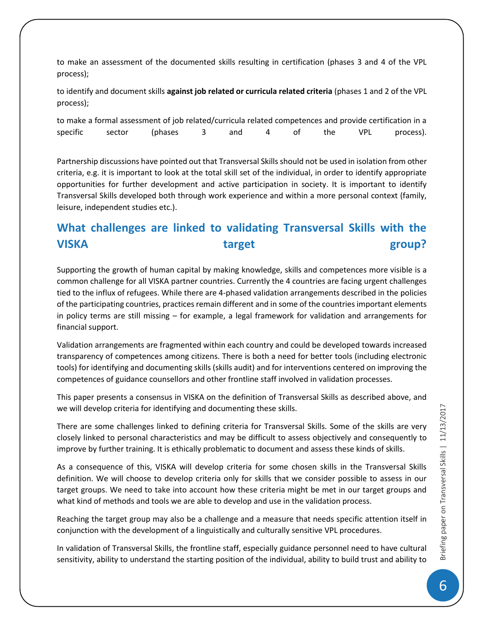to make an assessment of the documented skills resulting in certification (phases 3 and 4 of the VPL process);

to identify and document skills **against job related or curricula related criteria** (phases 1 and 2 of the VPL process);

|                 | to make a formal assessment of job related/curricula related competences and provide certification in a |     |      |         |           |
|-----------------|---------------------------------------------------------------------------------------------------------|-----|------|---------|-----------|
| specific sector | (phases                                                                                                 | and | 4 of | the VPL | process). |

Partnership discussions have pointed out that Transversal Skills should not be used in isolation from other criteria, e.g. it is important to look at the total skill set of the individual, in order to identify appropriate opportunities for further development and active participation in society. It is important to identify Transversal Skills developed both through work experience and within a more personal context (family, leisure, independent studies etc.).

#### <span id="page-6-0"></span>**What challenges are linked to validating Transversal Skills with the VISKA** and target group?

Supporting the growth of human capital by making knowledge, skills and competences more visible is a common challenge for all VISKA partner countries. Currently the 4 countries are facing urgent challenges tied to the influx of refugees. While there are 4-phased validation arrangements described in the policies of the participating countries, practices remain different and in some of the countries important elements in policy terms are still missing – for example, a legal framework for validation and arrangements for financial support.

Validation arrangements are fragmented within each country and could be developed towards increased transparency of competences among citizens. There is both a need for better tools (including electronic tools) for identifying and documenting skills (skills audit) and for interventions centered on improving the competences of guidance counsellors and other frontline staff involved in validation processes.

This paper presents a consensus in VISKA on the definition of Transversal Skills as described above, and we will develop criteria for identifying and documenting these skills.

There are some challenges linked to defining criteria for Transversal Skills. Some of the skills are very closely linked to personal characteristics and may be difficult to assess objectively and consequently to improve by further training. It is ethically problematic to document and assess these kinds of skills.

As a consequence of this, VISKA will develop criteria for some chosen skills in the Transversal Skills definition. We will choose to develop criteria only for skills that we consider possible to assess in our target groups. We need to take into account how these criteria might be met in our target groups and what kind of methods and tools we are able to develop and use in the validation process.

Reaching the target group may also be a challenge and a measure that needs specific attention itself in conjunction with the development of a linguistically and culturally sensitive VPL procedures.

In validation of Transversal Skills, the frontline staff, especially guidance personnel need to have cultural sensitivity, ability to understand the starting position of the individual, ability to build trust and ability to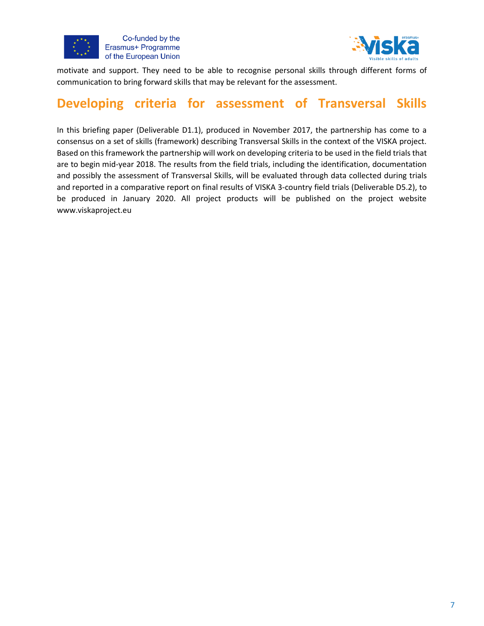



motivate and support. They need to be able to recognise personal skills through different forms of communication to bring forward skills that may be relevant for the assessment.

#### <span id="page-7-0"></span>**Developing criteria for assessment of Transversal Skills**

In this briefing paper (Deliverable D1.1), produced in November 2017, the partnership has come to a consensus on a set of skills (framework) describing Transversal Skills in the context of the VISKA project. Based on this framework the partnership will work on developing criteria to be used in the field trials that are to begin mid-year 2018. The results from the field trials, including the identification, documentation and possibly the assessment of Transversal Skills, will be evaluated through data collected during trials and reported in a comparative report on final results of VISKA 3-country field trials (Deliverable D5.2), to be produced in January 2020. All project products will be published on the project website www.viskaproject.eu